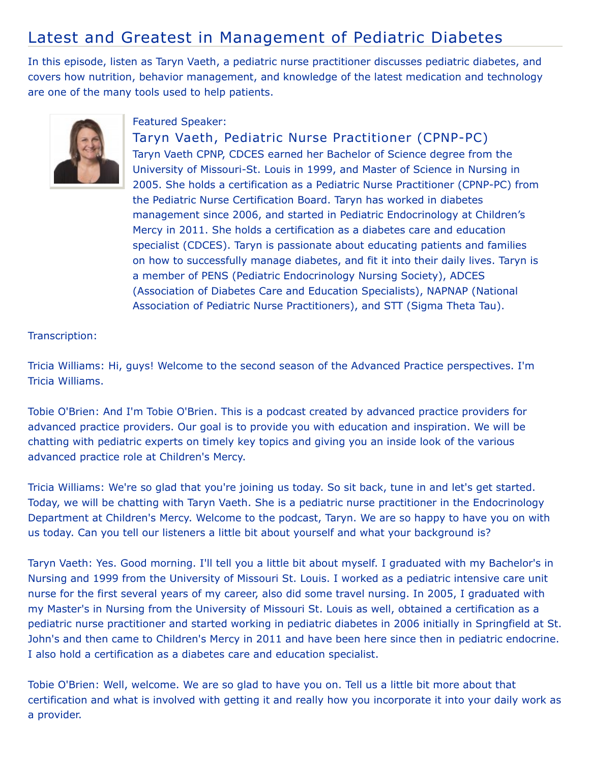## Latest and Greatest in Management of Pediatric Diabetes

In this episode, listen as Taryn Vaeth, a pediatric nurse practitioner discusses pediatric diabetes, and covers how nutrition, behavior management, and knowledge of the latest medication and technology are one of the many tools used to help patients.



## Featured Speaker:

Taryn Vaeth, Pediatric Nurse Practitioner (CPNP-PC) Taryn Vaeth CPNP, CDCES earned her Bachelor of Science degree from the University of Missouri-St. Louis in 1999, and Master of Science in Nursing in 2005. She holds a certification as a Pediatric Nurse Practitioner (CPNP-PC) from the Pediatric Nurse Certification Board. Taryn has worked in diabetes management since 2006, and started in Pediatric Endocrinology at Children's Mercy in 2011. She holds a certification as a diabetes care and education specialist (CDCES). Taryn is passionate about educating patients and families on how to successfully manage diabetes, and fit it into their daily lives. Taryn is a member of PENS (Pediatric Endocrinology Nursing Society), ADCES (Association of Diabetes Care and Education Specialists), NAPNAP (National Association of Pediatric Nurse Practitioners), and STT (Sigma Theta Tau).

## Transcription:

Tricia Williams: Hi, guys! Welcome to the second season of the Advanced Practice perspectives. I'm Tricia Williams.

Tobie O'Brien: And I'm Tobie O'Brien. This is a podcast created by advanced practice providers for advanced practice providers. Our goal is to provide you with education and inspiration. We will be chatting with pediatric experts on timely key topics and giving you an inside look of the various advanced practice role at Children's Mercy.

Tricia Williams: We're so glad that you're joining us today. So sit back, tune in and let's get started. Today, we will be chatting with Taryn Vaeth. She is a pediatric nurse practitioner in the Endocrinology Department at Children's Mercy. Welcome to the podcast, Taryn. We are so happy to have you on with us today. Can you tell our listeners a little bit about yourself and what your background is?

Taryn Vaeth: Yes. Good morning. I'll tell you a little bit about myself. I graduated with my Bachelor's in Nursing and 1999 from the University of Missouri St. Louis. I worked as a pediatric intensive care unit nurse for the first several years of my career, also did some travel nursing. In 2005, I graduated with my Master's in Nursing from the University of Missouri St. Louis as well, obtained a certification as a pediatric nurse practitioner and started working in pediatric diabetes in 2006 initially in Springfield at St. John's and then came to Children's Mercy in 2011 and have been here since then in pediatric endocrine. I also hold a certification as a diabetes care and education specialist.

Tobie O'Brien: Well, welcome. We are so glad to have you on. Tell us a little bit more about that certification and what is involved with getting it and really how you incorporate it into your daily work as a provider.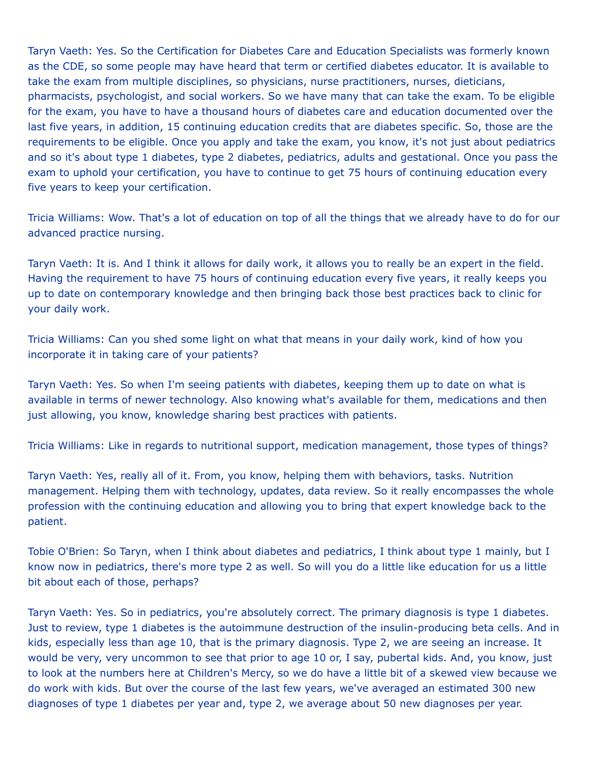Taryn Vaeth: Yes. So the Certification for Diabetes Care and Education Specialists was formerly known as the CDE, so some people may have heard that term or certified diabetes educator. It is available to take the exam from multiple disciplines, so physicians, nurse practitioners, nurses, dieticians, pharmacists, psychologist, and social workers. So we have many that can take the exam. To be eligible for the exam, you have to have a thousand hours of diabetes care and education documented over the last five years, in addition, 15 continuing education credits that are diabetes specific. So, those are the requirements to be eligible. Once you apply and take the exam, you know, it's not just about pediatrics and so it's about type 1 diabetes, type 2 diabetes, pediatrics, adults and gestational. Once you pass the exam to uphold your certification, you have to continue to get 75 hours of continuing education every five years to keep your certification.

Tricia Williams: Wow. That's a lot of education on top of all the things that we already have to do for our advanced practice nursing.

Taryn Vaeth: It is. And I think it allows for daily work, it allows you to really be an expert in the field. Having the requirement to have 75 hours of continuing education every five years, it really keeps you up to date on contemporary knowledge and then bringing back those best practices back to clinic for your daily work.

Tricia Williams: Can you shed some light on what that means in your daily work, kind of how you incorporate it in taking care of your patients?

Taryn Vaeth: Yes. So when I'm seeing patients with diabetes, keeping them up to date on what is available in terms of newer technology. Also knowing what's available for them, medications and then just allowing, you know, knowledge sharing best practices with patients.

Tricia Williams: Like in regards to nutritional support, medication management, those types of things?

Taryn Vaeth: Yes, really all of it. From, you know, helping them with behaviors, tasks. Nutrition management. Helping them with technology, updates, data review. So it really encompasses the whole profession with the continuing education and allowing you to bring that expert knowledge back to the patient.

Tobie O'Brien: So Taryn, when I think about diabetes and pediatrics, I think about type 1 mainly, but I know now in pediatrics, there's more type 2 as well. So will you do a little like education for us a little bit about each of those, perhaps?

Taryn Vaeth: Yes. So in pediatrics, you're absolutely correct. The primary diagnosis is type 1 diabetes. Just to review, type 1 diabetes is the autoimmune destruction of the insulin-producing beta cells. And in kids, especially less than age 10, that is the primary diagnosis. Type 2, we are seeing an increase. It would be very, very uncommon to see that prior to age 10 or, I say, pubertal kids. And, you know, just to look at the numbers here at Children's Mercy, so we do have a little bit of a skewed view because we do work with kids. But over the course of the last few years, we've averaged an estimated 300 new diagnoses of type 1 diabetes per year and, type 2, we average about 50 new diagnoses per year.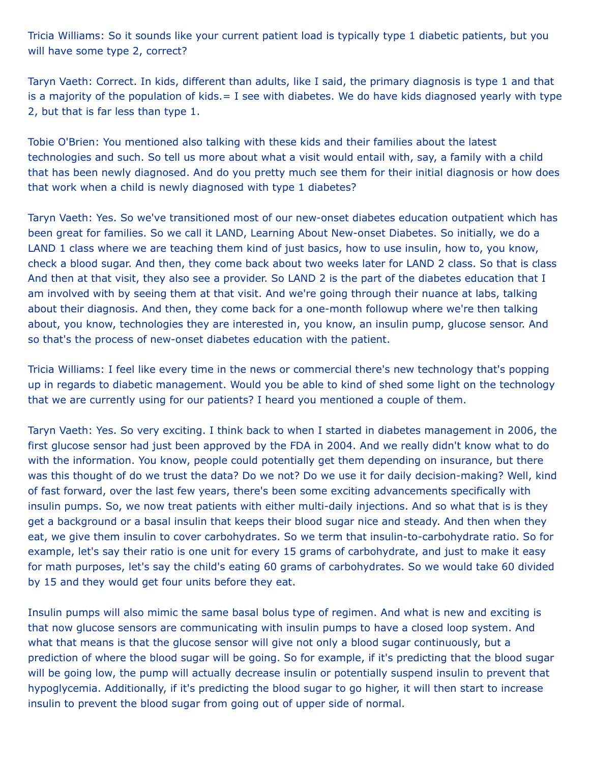Tricia Williams: So it sounds like your current patient load is typically type 1 diabetic patients, but you will have some type 2, correct?

Taryn Vaeth: Correct. In kids, different than adults, like I said, the primary diagnosis is type 1 and that is a majority of the population of kids.  $= I$  see with diabetes. We do have kids diagnosed yearly with type 2, but that is far less than type 1.

Tobie O'Brien: You mentioned also talking with these kids and their families about the latest technologies and such. So tell us more about what a visit would entail with, say, a family with a child that has been newly diagnosed. And do you pretty much see them for their initial diagnosis or how does that work when a child is newly diagnosed with type 1 diabetes?

Taryn Vaeth: Yes. So we've transitioned most of our new-onset diabetes education outpatient which has been great for families. So we call it LAND, Learning About New-onset Diabetes. So initially, we do a LAND 1 class where we are teaching them kind of just basics, how to use insulin, how to, you know, check a blood sugar. And then, they come back about two weeks later for LAND 2 class. So that is class And then at that visit, they also see a provider. So LAND 2 is the part of the diabetes education that I am involved with by seeing them at that visit. And we're going through their nuance at labs, talking about their diagnosis. And then, they come back for a one-month followup where we're then talking about, you know, technologies they are interested in, you know, an insulin pump, glucose sensor. And so that's the process of new-onset diabetes education with the patient.

Tricia Williams: I feel like every time in the news or commercial there's new technology that's popping up in regards to diabetic management. Would you be able to kind of shed some light on the technology that we are currently using for our patients? I heard you mentioned a couple of them.

Taryn Vaeth: Yes. So very exciting. I think back to when I started in diabetes management in 2006, the first glucose sensor had just been approved by the FDA in 2004. And we really didn't know what to do with the information. You know, people could potentially get them depending on insurance, but there was this thought of do we trust the data? Do we not? Do we use it for daily decision-making? Well, kind of fast forward, over the last few years, there's been some exciting advancements specifically with insulin pumps. So, we now treat patients with either multi-daily injections. And so what that is is they get a background or a basal insulin that keeps their blood sugar nice and steady. And then when they eat, we give them insulin to cover carbohydrates. So we term that insulin-to-carbohydrate ratio. So for example, let's say their ratio is one unit for every 15 grams of carbohydrate, and just to make it easy for math purposes, let's say the child's eating 60 grams of carbohydrates. So we would take 60 divided by 15 and they would get four units before they eat.

Insulin pumps will also mimic the same basal bolus type of regimen. And what is new and exciting is that now glucose sensors are communicating with insulin pumps to have a closed loop system. And what that means is that the glucose sensor will give not only a blood sugar continuously, but a prediction of where the blood sugar will be going. So for example, if it's predicting that the blood sugar will be going low, the pump will actually decrease insulin or potentially suspend insulin to prevent that hypoglycemia. Additionally, if it's predicting the blood sugar to go higher, it will then start to increase insulin to prevent the blood sugar from going out of upper side of normal.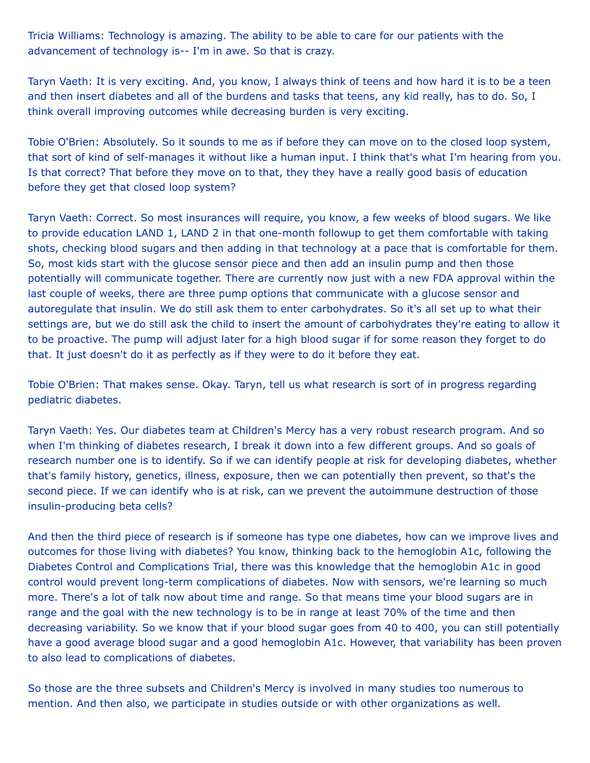Tricia Williams: Technology is amazing. The ability to be able to care for our patients with the advancement of technology is-- I'm in awe. So that is crazy.

Taryn Vaeth: It is very exciting. And, you know, I always think of teens and how hard it is to be a teen and then insert diabetes and all of the burdens and tasks that teens, any kid really, has to do. So, I think overall improving outcomes while decreasing burden is very exciting.

Tobie O'Brien: Absolutely. So it sounds to me as if before they can move on to the closed loop system, that sort of kind of self-manages it without like a human input. I think that's what I'm hearing from you. Is that correct? That before they move on to that, they they have a really good basis of education before they get that closed loop system?

Taryn Vaeth: Correct. So most insurances will require, you know, a few weeks of blood sugars. We like to provide education LAND 1, LAND 2 in that one-month followup to get them comfortable with taking shots, checking blood sugars and then adding in that technology at a pace that is comfortable for them. So, most kids start with the glucose sensor piece and then add an insulin pump and then those potentially will communicate together. There are currently now just with a new FDA approval within the last couple of weeks, there are three pump options that communicate with a glucose sensor and autoregulate that insulin. We do still ask them to enter carbohydrates. So it's all set up to what their settings are, but we do still ask the child to insert the amount of carbohydrates they're eating to allow it to be proactive. The pump will adjust later for a high blood sugar if for some reason they forget to do that. It just doesn't do it as perfectly as if they were to do it before they eat.

Tobie O'Brien: That makes sense. Okay. Taryn, tell us what research is sort of in progress regarding pediatric diabetes.

Taryn Vaeth: Yes. Our diabetes team at Children's Mercy has a very robust research program. And so when I'm thinking of diabetes research, I break it down into a few different groups. And so goals of research number one is to identify. So if we can identify people at risk for developing diabetes, whether that's family history, genetics, illness, exposure, then we can potentially then prevent, so that's the second piece. If we can identify who is at risk, can we prevent the autoimmune destruction of those insulin-producing beta cells?

And then the third piece of research is if someone has type one diabetes, how can we improve lives and outcomes for those living with diabetes? You know, thinking back to the hemoglobin A1c, following the Diabetes Control and Complications Trial, there was this knowledge that the hemoglobin A1c in good control would prevent long-term complications of diabetes. Now with sensors, we're learning so much more. There's a lot of talk now about time and range. So that means time your blood sugars are in range and the goal with the new technology is to be in range at least 70% of the time and then decreasing variability. So we know that if your blood sugar goes from 40 to 400, you can still potentially have a good average blood sugar and a good hemoglobin A1c. However, that variability has been proven to also lead to complications of diabetes.

So those are the three subsets and Children's Mercy is involved in many studies too numerous to mention. And then also, we participate in studies outside or with other organizations as well.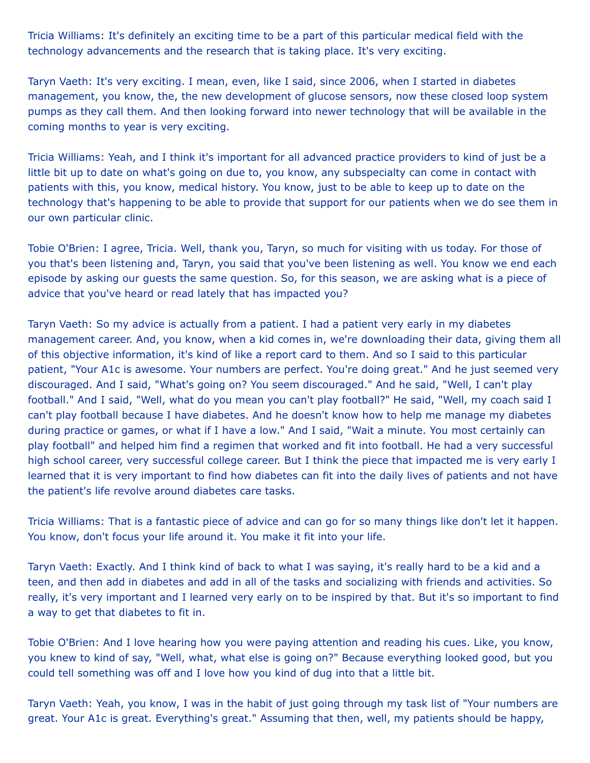Tricia Williams: It's definitely an exciting time to be a part of this particular medical field with the technology advancements and the research that is taking place. It's very exciting.

Taryn Vaeth: It's very exciting. I mean, even, like I said, since 2006, when I started in diabetes management, you know, the, the new development of glucose sensors, now these closed loop system pumps as they call them. And then looking forward into newer technology that will be available in the coming months to year is very exciting.

Tricia Williams: Yeah, and I think it's important for all advanced practice providers to kind of just be a little bit up to date on what's going on due to, you know, any subspecialty can come in contact with patients with this, you know, medical history. You know, just to be able to keep up to date on the technology that's happening to be able to provide that support for our patients when we do see them in our own particular clinic.

Tobie O'Brien: I agree, Tricia. Well, thank you, Taryn, so much for visiting with us today. For those of you that's been listening and, Taryn, you said that you've been listening as well. You know we end each episode by asking our guests the same question. So, for this season, we are asking what is a piece of advice that you've heard or read lately that has impacted you?

Taryn Vaeth: So my advice is actually from a patient. I had a patient very early in my diabetes management career. And, you know, when a kid comes in, we're downloading their data, giving them all of this objective information, it's kind of like a report card to them. And so I said to this particular patient, "Your A1c is awesome. Your numbers are perfect. You're doing great." And he just seemed very discouraged. And I said, "What's going on? You seem discouraged." And he said, "Well, I can't play football." And I said, "Well, what do you mean you can't play football?" He said, "Well, my coach said I can't play football because I have diabetes. And he doesn't know how to help me manage my diabetes during practice or games, or what if I have a low." And I said, "Wait a minute. You most certainly can play football" and helped him find a regimen that worked and fit into football. He had a very successful high school career, very successful college career. But I think the piece that impacted me is very early I learned that it is very important to find how diabetes can fit into the daily lives of patients and not have the patient's life revolve around diabetes care tasks.

Tricia Williams: That is a fantastic piece of advice and can go for so many things like don't let it happen. You know, don't focus your life around it. You make it fit into your life.

Taryn Vaeth: Exactly. And I think kind of back to what I was saying, it's really hard to be a kid and a teen, and then add in diabetes and add in all of the tasks and socializing with friends and activities. So really, it's very important and I learned very early on to be inspired by that. But it's so important to find a way to get that diabetes to fit in.

Tobie O'Brien: And I love hearing how you were paying attention and reading his cues. Like, you know, you knew to kind of say, "Well, what, what else is going on?" Because everything looked good, but you could tell something was off and I love how you kind of dug into that a little bit.

Taryn Vaeth: Yeah, you know, I was in the habit of just going through my task list of "Your numbers are great. Your A1c is great. Everything's great." Assuming that then, well, my patients should be happy,